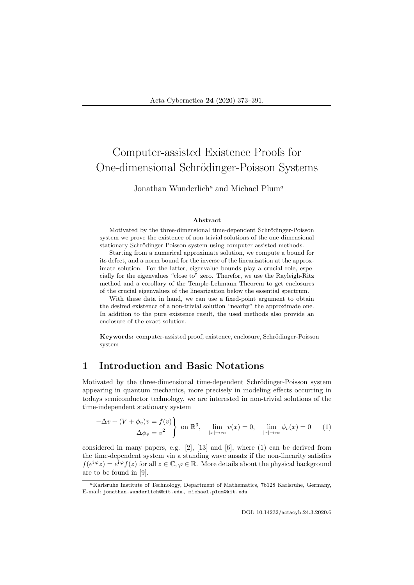# Computer-assisted Existence Proofs for One-dimensional Schrödinger-Poisson Systems

### Jonathan Wunderlich<sup>a</sup> and Michael Plum<sup>a</sup>

#### Abstract

Motivated by the three-dimensional time-dependent Schrödinger-Poisson system we prove the existence of non-trivial solutions of the one-dimensional stationary Schrödinger-Poisson system using computer-assisted methods.

Starting from a numerical approximate solution, we compute a bound for its defect, and a norm bound for the inverse of the linearization at the approximate solution. For the latter, eigenvalue bounds play a crucial role, especially for the eigenvalues "close to" zero. Therefor, we use the Rayleigh-Ritz method and a corollary of the Temple-Lehmann Theorem to get enclosures of the crucial eigenvalues of the linearization below the essential spectrum.

With these data in hand, we can use a fixed-point argument to obtain the desired existence of a non-trivial solution "nearby" the approximate one. In addition to the pure existence result, the used methods also provide an enclosure of the exact solution.

Keywords: computer-assisted proof, existence, enclosure, Schrödinger-Poisson system

### 1 Introduction and Basic Notations

Motivated by the three-dimensional time-dependent Schrödinger-Poisson system appearing in quantum mechanics, more precisely in modeling effects occurring in todays semiconductor technology, we are interested in non-trivial solutions of the time-independent stationary system

$$
-\Delta v + (V + \phi_v)v = f(v) \quad \text{on } \mathbb{R}^3, \quad \lim_{|x| \to \infty} v(x) = 0, \quad \lim_{|x| \to \infty} \phi_v(x) = 0 \quad (1)
$$

considered in many papers, e.g.  $[2]$ ,  $[13]$  and  $[6]$ , where  $(1)$  can be derived from the time-dependent system via a standing wave ansatz if the non-linearity satisfies  $f(e^{i\varphi}z) = e^{i\varphi}f(z)$  for all  $z \in \mathbb{C}, \varphi \in \mathbb{R}$ . More details about the physical background are to be found in [9].

<sup>a</sup>Karlsruhe Institute of Technology, Department of Mathematics, 76128 Karlsruhe, Germany, E-mail: jonathan.wunderlich@kit.edu, michael.plum@kit.edu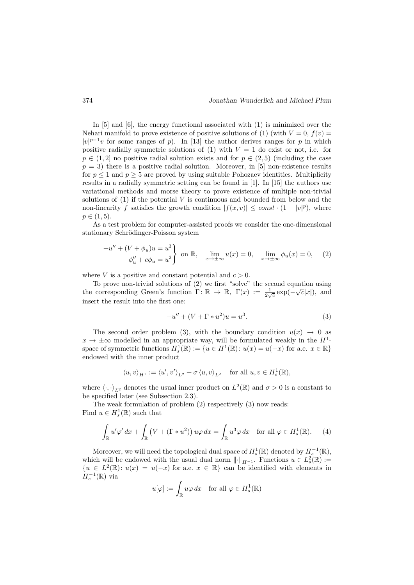In [5] and [6], the energy functional associated with (1) is minimized over the Nehari manifold to prove existence of positive solutions of (1) (with  $V = 0$ ,  $f(v) =$  $|v|^{p-1}v$  for some ranges of p). In [13] the author derives ranges for p in which positive radially symmetric solutions of (1) with  $V = 1$  do exist or not, i.e. for  $p \in (1, 2]$  no positive radial solution exists and for  $p \in (2, 5)$  (including the case  $p = 3$ ) there is a positive radial solution. Moreover, in [5] non-existence results for  $p \leq 1$  and  $p \geq 5$  are proved by using suitable Pohozaev identities. Multiplicity results in a radially symmetric setting can be found in [1]. In [15] the authors use variational methods and morse theory to prove existence of multiple non-trivial solutions of  $(1)$  if the potential V is continuous and bounded from below and the non-linearity f satisfies the growth condition  $|f(x,v)| \leq const \cdot (1+|v|^p)$ , where  $p \in (1, 5)$ .

As a test problem for computer-assisted proofs we consider the one-dimensional stationary Schrödinger-Poisson system

$$
-u'' + (V + \phi_u)u = u^3
$$
  

$$
-\phi_u'' + c\phi_u = u^2
$$
 on  $\mathbb{R}$ ,  $\lim_{x \to \pm \infty} u(x) = 0$ ,  $\lim_{x \to \pm \infty} \phi_u(x) = 0$ , (2)

where V is a positive and constant potential and  $c > 0$ .

To prove non-trivial solutions of (2) we first "solve" the second equation using the corresponding Green's function  $\Gamma: \mathbb{R} \to \mathbb{R}, \ \Gamma(x) := \frac{1}{2\sqrt{c}} \exp(-\sqrt{c}|x|),$  and insert the result into the first one:

$$
-u'' + (V + \Gamma * u^2)u = u^3.
$$
 (3)

The second order problem (3), with the boundary condition  $u(x) \rightarrow 0$  as  $x \to \pm \infty$  modelled in an appropriate way, will be formulated weakly in the  $H^1$ space of symmetric functions  $H_s^1(\mathbb{R}) := \{u \in H^1(\mathbb{R}) : u(x) = u(-x) \text{ for a.e. } x \in \mathbb{R}\}\$ endowed with the inner product

$$
\langle u, v \rangle_{H^1} := \langle u', v' \rangle_{L^2} + \sigma \langle u, v \rangle_{L^2} \quad \text{ for all } u, v \in H^1_s(\mathbb{R}),
$$

where  $\langle \cdot, \cdot \rangle_{L^2}$  denotes the usual inner product on  $L^2(\mathbb{R})$  and  $\sigma > 0$  is a constant to be specified later (see Subsection 2.3).

The weak formulation of problem (2) respectively (3) now reads: Find  $u \in H_s^1(\mathbb{R})$  such that

$$
\int_{\mathbb{R}} u' \varphi' dx + \int_{\mathbb{R}} \left( V + (\Gamma * u^2) \right) u \varphi dx = \int_{\mathbb{R}} u^3 \varphi dx \quad \text{for all } \varphi \in H^1_s(\mathbb{R}). \tag{4}
$$

Moreover, we will need the topological dual space of  $H_s^1(\mathbb{R})$  denoted by  $H_s^{-1}(\mathbb{R})$ , which will be endowed with the usual dual norm  $\lVert \cdot \rVert_{H^{-1}}$ . Functions  $u \in L^2_{s}(\mathbb{R}) :=$  ${u \in L^2(\mathbb{R}) : u(x) = u(-x) \text{ for a.e. } x \in \mathbb{R}}$  can be identified with elements in  $H_s^{-1}(\mathbb{R})$  via

$$
u[\varphi] := \int_{\mathbb{R}} u\varphi \, dx \quad \text{for all } \varphi \in H^1_s(\mathbb{R})
$$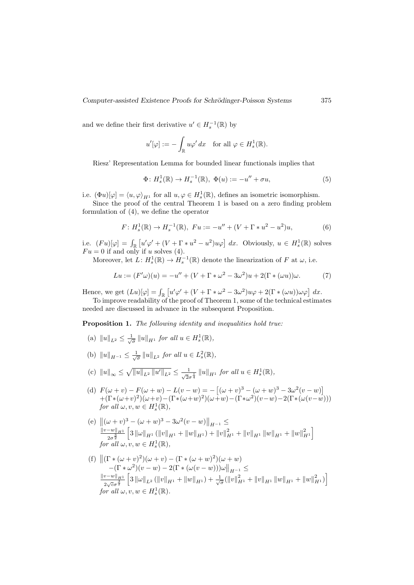and we define their first derivative  $u' \in H_s^{-1}(\mathbb{R})$  by

$$
u'[\varphi] := -\int_{\mathbb{R}} u\varphi' dx \quad \text{for all } \varphi \in H^1_s(\mathbb{R}).
$$

Riesz' Representation Lemma for bounded linear functionals implies that

$$
\Phi: H_s^1(\mathbb{R}) \to H_s^{-1}(\mathbb{R}), \ \Phi(u) := -u'' + \sigma u,\tag{5}
$$

i.e.  $(\Phi u)[\varphi] = \langle u, \varphi \rangle_{H^1}$  for all  $u, \varphi \in H^1_s(\mathbb{R})$ , defines an isometric isomorphism.

Since the proof of the central Theorem 1 is based on a zero finding problem formulation of (4), we define the operator

$$
F: H_s^1(\mathbb{R}) \to H_s^{-1}(\mathbb{R}), \ Fu := -u'' + (V + \Gamma * u^2 - u^2)u,
$$
 (6)

i.e.  $(Fu)[\varphi] = \int_{\mathbb{R}} \left[ u' \varphi' + (V + \Gamma * u^2 - u^2) u \varphi \right] dx$ . Obviously,  $u \in H_s^1(\mathbb{R})$  solves  $Fu = 0$  if and only if u solves (4).

Moreover, let  $L: H_s^1(\mathbb{R}) \to H_s^{-1}(\mathbb{R})$  denote the linearization of F at  $\omega$ , i.e.

$$
Lu := (F' \omega)(u) = -u'' + (V + \Gamma * \omega^2 - 3\omega^2)u + 2(\Gamma * (\omega u))\omega.
$$
 (7)

Hence, we get  $(Lu)[\varphi] = \int_{\mathbb{R}} \left[ u' \varphi' + (V + \Gamma * \omega^2 - 3\omega^2)u\varphi + 2(\Gamma * (\omega u))\omega\varphi \right] dx$ .

To improve readability of the proof of Theorem 1, some of the technical estimates needed are discussed in advance in the subsequent Proposition.

Proposition 1. The following identity and inequalities hold true:

- (a)  $||u||_{L^2} \le \frac{1}{\sqrt{\sigma}} ||u||_{H^1}$  for all  $u \in H_s^1(\mathbb{R}),$
- (b)  $||u||_{H^{-1}} \le \frac{1}{\sqrt{\sigma}} ||u||_{L^2}$  for all  $u \in L^2_s(\mathbb{R}),$
- (c)  $||u||_{\infty} \leq \sqrt{||u||_{L^2} ||u'||_{L^2}} \leq \frac{1}{\sqrt{2}\sigma^{\frac{1}{4}}} ||u||_{H^1}$  for all  $u \in H^1_s(\mathbb{R})$ ,
- (d)  $F(\omega + v) F(\omega + w) L(v w) = -[(\omega + v)^3 (\omega + w)^3 3\omega^2(v w)]$  $+(\Gamma * (\omega + v)^2)(\omega + v) - (\Gamma * (\omega + w)^2)(\omega + w) - (\Gamma * \omega^2)(v - w) - 2(\Gamma * (\omega(v - w))))$ for all  $\omega, v, w \in H^1_s(\mathbb{R}),$
- (e)  $\left\| (\omega + v)^3 (\omega + w)^3 3\omega^2 (v w) \right\|_{H^{-1}} \le$  $||v-w||_{H^1}$  $2\sigma^{\frac{3}{2}}$  $\left[ 3\left\Vert \omega\right\Vert _{H^{1}}\left( \left\Vert v\right\Vert _{H^{1}}+\left\Vert w\right\Vert _{H^{1}}\right) +\left\Vert v\right\Vert _{H^{1}}^{2}+\left\Vert v\right\Vert _{H^{1}}\left\Vert w\right\Vert _{H^{1}}+\left\Vert w\right\Vert _{H^{1}}^{2}\right]$ for all  $\omega, v, w \in H^1_s(\mathbb{R}),$
- (f)  $\left\| (\Gamma * (\omega + v)^2)(\omega + v) (\Gamma * (\omega + w)^2)(\omega + w) \right\|$  $-(\Gamma*\omega^2)(v-w)-2(\Gamma*(\omega(v-w)))\omega\Big\|_{H^{-1}}\leq$  $\|v-w\|_{H^1} \leq \|v-v\|_{H^1} \leq \|v\|_{H^1} + \|v\|_{H^1} + \|v\|_{H^1} + \|v\|_{H^1}$  $\frac{1}{2\sqrt{c}\sigma^{\frac{3}{2}}}$  $\left[ 3\left\Vert \omega\right\Vert _{L^{2}}\left( \left\Vert v\right\Vert _{H^{1}}+\left\Vert w\right\Vert _{H^{1}}\right) +\frac{1}{\sqrt{\sigma}}(\left\Vert v\right\Vert _{H^{1}}^{2}+\left\Vert v\right\Vert _{H^{1}}\left\Vert w\right\Vert _{H^{1}}+\left\Vert w\right\Vert _{H^{1}}^{2}\right) \right]$ for all  $\omega, v, w \in H^1_s(\mathbb{R})$ .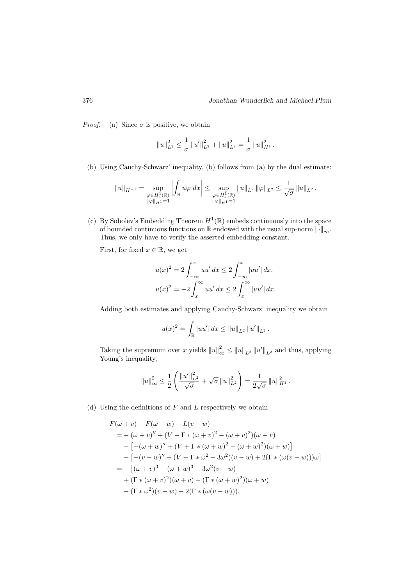*Proof.* (a) Since  $\sigma$  is positive, we obtain

$$
||u||_{L^2}^2 \leq \frac{1}{\sigma} ||u'||_{L^2}^2 + ||u||_{L^2}^2 = \frac{1}{\sigma} ||u||_{H^1}^2.
$$

(b) Using Cauchy-Schwarz' inequality, (b) follows from (a) by the dual estimate:

$$
||u||_{H^{-1}} = \sup_{\substack{\varphi \in H_s^1(\mathbb{R}) \\ ||\varphi||_{H^1} = 1}} \left| \int_{\mathbb{R}} u\varphi \, dx \right| \leq \sup_{\substack{\varphi \in H_s^1(\mathbb{R}) \\ ||\varphi||_{H^1} = 1}} ||u||_{L^2} ||\varphi||_{L^2} \leq \frac{1}{\sqrt{\sigma}} ||u||_{L^2}.
$$

(c) By Sobolev's Embedding Theorem  $H^1(\mathbb{R})$  embeds continuously into the space of bounded continuous functions on R endowed with the usual sup-norm  $\|\cdot\|_{\infty}$ . Thus, we only have to verify the asserted embedding constant.

First, for fixed  $x \in \mathbb{R}$ , we get

$$
u(x)^{2} = 2 \int_{-\infty}^{x} uu' dx \le 2 \int_{-\infty}^{x} |uu'| dx,
$$
  

$$
u(x)^{2} = -2 \int_{x}^{\infty} uu' dx \le 2 \int_{x}^{\infty} |uu'| dx.
$$

Adding both estimates and applying Cauchy-Schwarz' inequality we obtain

$$
u(x)^{2} = \int_{\mathbb{R}} |uu'| dx \leq ||u||_{L^{2}} ||u'||_{L^{2}}.
$$

Taking the supremum over x yields  $||u||_{\infty}^2 \le ||u||_{L^2} ||u'||_{L^2}$  and thus, applying Young's inequality,

$$
||u||_{\infty}^{2} \leq \frac{1}{2} \left( \frac{||u'||_{L^{2}}^{2}}{\sqrt{\sigma}} + \sqrt{\sigma} ||u||_{L^{2}}^{2} \right) = \frac{1}{2\sqrt{\sigma}} ||u||_{H^{1}}^{2}.
$$

(d) Using the definitions of  $F$  and  $L$  respectively we obtain

$$
F(\omega + v) - F(\omega + w) - L(v - w)
$$
  
= - (\omega + v)'' + (V + \Gamma \* (\omega + v)^2 - (\omega + v)^2)(\omega + v)  
- [-(\omega + w)'' + (V + \Gamma \* (\omega + w)^2 - (\omega + w)^2)(\omega + w)]  
- [-(v - w)'' + (V + \Gamma \* \omega^2 - 3\omega^2)(v - w) + 2(\Gamma \* (\omega(v - w)))\omega]  
= - [(\omega + v)^3 - (\omega + w)^3 - 3\omega^2(v - w)]  
+ (\Gamma \* (\omega + v)^2)(\omega + v) - (\Gamma \* (\omega + w)^2)(\omega + w)  
- (\Gamma \* \omega^2)(v - w) - 2(\Gamma \* (\omega(v - w))).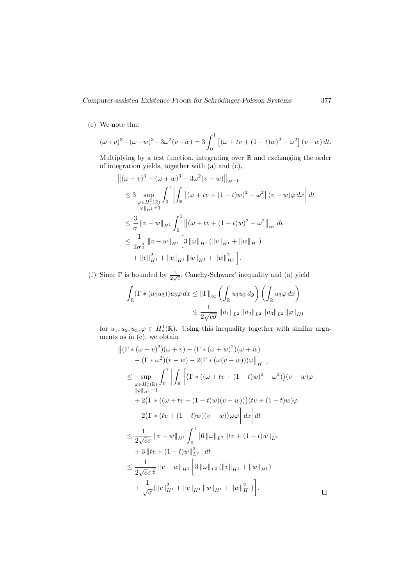(e) We note that

$$
(\omega + v)^3 - (\omega + w)^3 - 3\omega^2(v - w) = 3\int_0^1 [(\omega + tv + (1 - t)w)^2 - \omega^2](v - w) dt.
$$

Multiplying by a test function, integrating over R and exchanging the order of integration yields, together with (a) and (c),

$$
\begin{split}\n\| (\omega + v)^3 - (\omega + w)^3 - 3\omega^2 (v - w) \|_{H^{-1}} \\
&\leq 3 \sup_{\varphi \in H^1_s(\mathbb{R})} \int_0^1 \left| \int_{\mathbb{R}} \left[ (\omega + tv + (1 - t)w)^2 - \omega^2 \right] (v - w) \varphi \, dx \right| \, dt \\
&\leq \frac{3}{\sigma} \left\| v - w \right\|_{H^1} \int_0^1 \left\| (\omega + tv + (1 - t)w)^2 - \omega^2 \right\|_{\infty} \, dt \\
&\leq \frac{1}{2\sigma^{\frac{3}{2}}} \left\| v - w \right\|_{H^1} \left[ 3 \left\| \omega \right\|_{H^1} (\|v\|_{H^1} + \|w\|_{H^1}) \right. \\
&\quad \left. + \|v\|_{H^1}^2 + \|v\|_{H^1} \left\| w \right\|_{H^1} + \|w\|_{H^1}^2 \right].\n\end{split}
$$

(f) Since  $\Gamma$  is bounded by  $\frac{1}{2\sqrt{c}}$ , Cauchy-Schwarz' inequality and (a) yield

$$
\int_{\mathbb{R}} (\Gamma * (u_1 u_2)) u_3 \varphi \, dx \leq \|\Gamma\|_{\infty} \left( \int_{\mathbb{R}} u_1 u_2 \, dy \right) \left( \int_{\mathbb{R}} u_3 \varphi \, dx \right)
$$
  

$$
\leq \frac{1}{2\sqrt{c\sigma}} \|u_1\|_{L^2} \|u_2\|_{L^2} \|u_3\|_{L^2} \|\varphi\|_{H^1}
$$

for  $u_1, u_2, u_3, \varphi \in H^1_s(\mathbb{R})$ . Using this inequality together with similar arguments as in (e), we obtain

$$
\begin{split}\n\left\| (\Gamma * (\omega + v)^2)(\omega + v) - (\Gamma * (\omega + w)^2)(\omega + w) \right\|_{H^{-1}} \\
&\quad - (\Gamma * \omega^2)(v - w) - 2(\Gamma * (\omega(v - w)))\omega \Big\|_{H^{-1}} \\
&\leq \sup_{\varphi \in H^1_s(\mathbb{R})} \int_0^1 \left| \int_{\mathbb{R}} \left[ (\Gamma * ((\omega + tv + (1 - t)w)^2 - \omega^2)) (v - w) \varphi \right] \right|_{\mathbb{R}^{d-1}} \\
&\quad + 2(\Gamma * ((\omega + tv + (1 - t)w)(v - w))) (tv + (1 - t)w) \varphi \\
&\quad - 2(\Gamma * (tv + (1 - t)w)(v - w))\omega \varphi \right] dx \Big| dt \\
&\leq \frac{1}{2\sqrt{c}\sigma} \left\| v - w \right\|_{H^1} \int_0^1 \left[ 6 \left\| \omega \right\|_{L^2} \left\| tv + (1 - t)w \right\|_{L^2} \\
&\quad + 3 \left\| tv + (1 - t)w \right\|_{L^2}^2 \right] dt \\
&\leq \frac{1}{2\sqrt{c}\sigma^{\frac{3}{2}}} \left\| v - w \right\|_{H^1} \left[ 3 \left\| \omega \right\|_{L^2} (\left\| v \right\|_{H^1} + \left\| w \right\|_{H^1}) \\
&\quad + \frac{1}{\sqrt{\sigma}} (\left\| v \right\|_{H^1}^2 + \left\| v \right\|_{H^1} \left\| w \right\|_{H^1} + \left\| w \right\|_{H^1}^2) \right].\n\end{split}
$$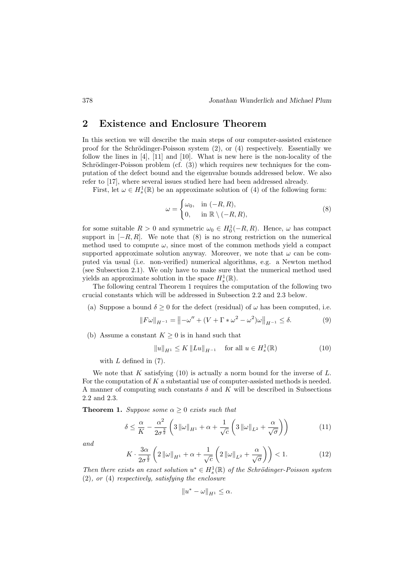### 2 Existence and Enclosure Theorem

In this section we will describe the main steps of our computer-assisted existence proof for the Schrödinger-Poisson system  $(2)$ , or  $(4)$  respectively. Essentially we follow the lines in [4], [11] and [10]. What is new here is the non-locality of the Schrödinger-Poisson problem (cf.  $(3)$ ) which requires new techniques for the computation of the defect bound and the eigenvalue bounds addressed below. We also refer to [17], where several issues studied here had been addressed already.

First, let  $\omega \in H_s^1(\mathbb{R})$  be an approximate solution of (4) of the following form:

$$
\omega = \begin{cases} \omega_0, & \text{in } (-R, R), \\ 0, & \text{in } \mathbb{R} \setminus (-R, R), \end{cases}
$$
 (8)

for some suitable  $R > 0$  and symmetric  $\omega_0 \in H_0^1(-R, R)$ . Hence,  $\omega$  has compact support in  $[-R, R]$ . We note that  $(8)$  is no strong restriction on the numerical method used to compute  $\omega$ , since most of the common methods yield a compact supported approximate solution anyway. Moreover, we note that  $\omega$  can be computed via usual (i.e. non-verified) numerical algorithms, e.g. a Newton method (see Subsection 2.1). We only have to make sure that the numerical method used yields an approximate solution in the space  $H_s^1(\mathbb{R})$ .

The following central Theorem 1 requires the computation of the following two crucial constants which will be addressed in Subsection 2.2 and 2.3 below.

(a) Suppose a bound  $\delta \geq 0$  for the defect (residual) of  $\omega$  has been computed, i.e.

$$
||F\omega||_{H^{-1}} = ||-\omega'' + (V + \Gamma * \omega^2 - \omega^2)\omega||_{H^{-1}} \le \delta.
$$
 (9)

(b) Assume a constant  $K \geq 0$  is in hand such that

$$
||u||_{H^1} \le K ||Lu||_{H^{-1}} \quad \text{for all } u \in H^1_s(\mathbb{R})
$$
 (10)

with  $L$  defined in  $(7)$ .

We note that K satisfying  $(10)$  is actually a norm bound for the inverse of L. For the computation of  $K$  a substantial use of computer-assisted methods is needed. A manner of computing such constants  $\delta$  and K will be described in Subsections 2.2 and 2.3.

**Theorem 1.** Suppose some  $\alpha \geq 0$  exists such that

$$
\delta \le \frac{\alpha}{K} - \frac{\alpha^2}{2\sigma^{\frac{3}{2}}} \left( 3 \left\| \omega \right\|_{H^1} + \alpha + \frac{1}{\sqrt{c}} \left( 3 \left\| \omega \right\|_{L^2} + \frac{\alpha}{\sqrt{\sigma}} \right) \right) \tag{11}
$$

and

$$
K \cdot \frac{3\alpha}{2\sigma^{\frac{3}{2}}} \left( 2\left\| \omega \right\|_{H^1} + \alpha + \frac{1}{\sqrt{c}} \left( 2\left\| \omega \right\|_{L^2} + \frac{\alpha}{\sqrt{\sigma}} \right) \right) < 1. \tag{12}
$$

Then there exists an exact solution  $u^* \in H_s^1(\mathbb{R})$  of the Schrödinger-Poisson system (2), or (4) respectively, satisfying the enclosure

$$
||u^* - \omega||_{H^1} \leq \alpha.
$$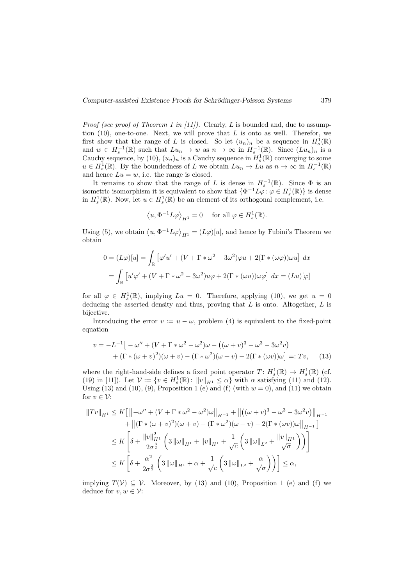*Proof (see proof of Theorem 1 in [11]).* Clearly,  $L$  is bounded and, due to assumption  $(10)$ , one-to-one. Next, we will prove that  $L$  is onto as well. Therefor, we first show that the range of L is closed. So let  $(u_n)_n$  be a sequence in  $H_s^1(\mathbb{R})$ and  $w \in H_s^{-1}(\mathbb{R})$  such that  $Lu_n \to w$  as  $n \to \infty$  in  $H_s^{-1}(\mathbb{R})$ . Since  $(Lu_n)_n$  is a Cauchy sequence, by (10),  $(u_n)_n$  is a Cauchy sequence in  $H_s^1(\mathbb{R})$  converging to some  $u \in H_s^1(\mathbb{R})$ . By the boundedness of L we obtain  $Lu_n \to Lu$  as  $n \to \infty$  in  $H_s^{-1}(\mathbb{R})$ and hence  $Lu = w$ , i.e. the range is closed.

It remains to show that the range of L is dense in  $H_s^{-1}(\mathbb{R})$ . Since  $\Phi$  is an isometric isomorphism it is equivalent to show that  $\{\Phi^{-1}L\varphi: \varphi \in H^1_s(\mathbb{R})\}$  is dense in  $H_s^1(\mathbb{R})$ . Now, let  $u \in H_s^1(\mathbb{R})$  be an element of its orthogonal complement, i.e.

$$
\langle u, \Phi^{-1} L \varphi \rangle_{H^1} = 0
$$
 for all  $\varphi \in H_s^1(\mathbb{R})$ .

Using (5), we obtain  $\langle u, \Phi^{-1} L \varphi \rangle_{H^1} = (L\varphi)[u]$ , and hence by Fubini's Theorem we obtain

$$
0 = (L\varphi)[u] = \int_{\mathbb{R}} \left[ \varphi'u' + (V + \Gamma * \omega^2 - 3\omega^2)\varphi u + 2(\Gamma * (\omega \varphi))\omega u \right] dx
$$
  
= 
$$
\int_{\mathbb{R}} \left[ u'\varphi' + (V + \Gamma * \omega^2 - 3\omega^2)u\varphi + 2(\Gamma * (\omega u))\omega\varphi \right] dx = (Lu)[\varphi]
$$

for all  $\varphi \in H_s^1(\mathbb{R})$ , implying  $Lu = 0$ . Therefore, applying (10), we get  $u = 0$ deducing the asserted density and thus, proving that  $L$  is onto. Altogether,  $L$  is bijective.

Introducing the error  $v := u - \omega$ , problem (4) is equivalent to the fixed-point equation

$$
v = -L^{-1}[-\omega'' + (V + \Gamma * \omega^2 - \omega^2)\omega - ((\omega + v)^3 - \omega^3 - 3\omega^2 v) + (\Gamma * (\omega + v)^2)(\omega + v) - (\Gamma * \omega^2)(\omega + v) - 2(\Gamma * (\omega v))\omega] =: Tv,
$$
 (13)

where the right-hand-side defines a fixed point operator  $T: H_s^1(\mathbb{R}) \to H_s^1(\mathbb{R})$  (cf. (19) in [11]). Let  $\mathcal{V} := \{v \in H_s^1(\mathbb{R}) : ||v||_{H^1} \leq \alpha\}$  with  $\alpha$  satisfying (11) and (12). Using (13) and (10), (9), Proposition 1 (e) and (f) (with  $w = 0$ ), and (11) we obtain for  $v \in \mathcal{V}$ :

$$
||Tv||_{H^{1}} \leq K\left[\left\|-\omega'' + (V + \Gamma * \omega^{2} - \omega^{2})\omega\right\|_{H^{-1}} + \left\|((\omega + v)^{3} - \omega^{3} - 3\omega^{2}v)\right\|_{H^{-1}} + \left\|(\Gamma * (\omega + v)^{2})(\omega + v) - (\Gamma * \omega^{2})(\omega + v) - 2(\Gamma * (\omega v))\omega\right\|_{H^{-1}}\right]
$$
  

$$
\leq K\left[\delta + \frac{\|v\|_{H^{1}}^{2}}{2\sigma^{\frac{3}{2}}}\left(3\left\|\omega\right\|_{H^{1}} + \left\|v\right\|_{H^{1}} + \frac{1}{\sqrt{c}}\left(3\left\|\omega\right\|_{L^{2}} + \frac{\|v\|_{H^{1}}}{\sqrt{\sigma}}\right)\right)\right]
$$
  

$$
\leq K\left[\delta + \frac{\alpha^{2}}{2\sigma^{\frac{3}{2}}}\left(3\left\|\omega\right\|_{H^{1}} + \alpha + \frac{1}{\sqrt{c}}\left(3\left\|\omega\right\|_{L^{2}} + \frac{\alpha}{\sqrt{\sigma}}\right)\right)\right] \leq \alpha,
$$

implying  $T(V) \subseteq V$ . Moreover, by (13) and (10), Proposition 1 (e) and (f) we deduce for  $v, w \in \mathcal{V}$ :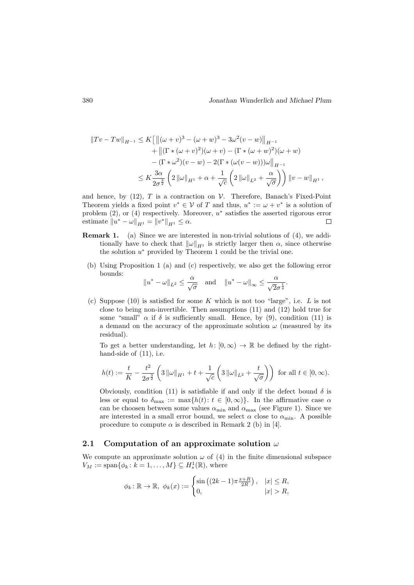$$
||Tv - Tw||_{H^{-1}} \le K[||(\omega + v)^3 - (\omega + w)^3 - 3\omega^2(v - w)||_{H^{-1}} + ||(\Gamma * (\omega + v)^2)(\omega + v) - (\Gamma * (\omega + w)^2)(\omega + w) - (\Gamma * \omega^2)(v - w) - 2(\Gamma * (\omega(v - w)))\omega||_{H^{-1}} \le K \frac{3\alpha}{2\sigma^{\frac{3}{2}}} \left( 2||\omega||_{H^1} + \alpha + \frac{1}{\sqrt{c}} \left( 2||\omega||_{L^2} + \frac{\alpha}{\sqrt{\sigma}} \right) \right) ||v - w||_{H^1},
$$

and hence, by (12), T is a contraction on  $\mathcal V$ . Therefore, Banach's Fixed-Point Theorem yields a fixed point  $v^* \in V$  of T and thus,  $u^* := \omega + v^*$  is a solution of problem  $(2)$ , or  $(4)$  respectively. Moreover,  $u^*$  satisfies the asserted rigorous error estimate  $||u^* - \omega||_{H^1} = ||v^*||_{H^1} \leq \alpha$ .  $\Box$ 

- Remark 1. (a) Since we are interested in non-trivial solutions of (4), we additionally have to check that  $\|\omega\|_{H^1}$  is strictly larger then  $\alpha$ , since otherwise the solution  $u^*$  provided by Theorem 1 could be the trivial one.
	- (b) Using Proposition 1 (a) and (c) respectively, we also get the following error bounds:

$$
||u^* - \omega||_{L^2} \le \frac{\alpha}{\sqrt{\sigma}}
$$
 and  $||u^* - \omega||_{\infty} \le \frac{\alpha}{\sqrt{2}\sigma^{\frac{1}{4}}}.$ 

(c) Suppose (10) is satisfied for some K which is not too "large", i.e.  $L$  is not close to being non-invertible. Then assumptions (11) and (12) hold true for some "small"  $\alpha$  if  $\delta$  is sufficiently small. Hence, by (9), condition (11) is a demand on the accuracy of the approximate solution  $\omega$  (measured by its residual).

To get a better understanding, let  $h: [0, \infty) \to \mathbb{R}$  be defined by the righthand-side of  $(11)$ , i.e.

$$
h(t) := \frac{t}{K} - \frac{t^2}{2\sigma^{\frac{3}{2}}} \left( 3 \|\omega\|_{H^1} + t + \frac{1}{\sqrt{c}} \left( 3 \|\omega\|_{L^2} + \frac{t}{\sqrt{\sigma}} \right) \right) \text{ for all } t \in [0, \infty).
$$

Obviously, condition (11) is satisfiable if and only if the defect bound  $\delta$  is less or equal to  $\delta_{\text{max}} := \max\{h(t): t \in [0, \infty)\}\.$  In the affirmative case  $\alpha$ can be choosen between some values  $\alpha_{\min}$  and  $\alpha_{\max}$  (see Figure 1). Since we are interested in a small error bound, we select  $\alpha$  close to  $\alpha_{\min}$ . A possible procedure to compute  $\alpha$  is described in Remark 2 (b) in [4].

#### 2.1 Computation of an approximate solution  $\omega$

We compute an approximate solution  $\omega$  of (4) in the finite dimensional subspace  $V_M := \text{span}\{\phi_k : k = 1, \dots, M\} \subseteq H_s^1(\mathbb{R}),$  where

$$
\phi_k : \mathbb{R} \to \mathbb{R}, \ \phi_k(x) := \begin{cases} \sin\left((2k-1)\pi \frac{x+R}{2R}\right), & |x| \le R, \\ 0, & |x| > R, \end{cases}
$$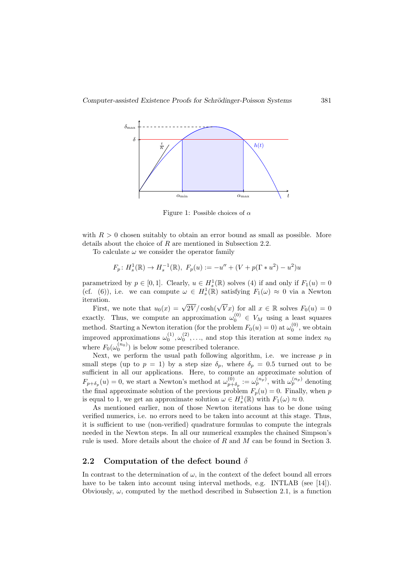

Figure 1: Possible choices of  $\alpha$ 

with  $R > 0$  chosen suitably to obtain an error bound as small as possible. More details about the choice of R are mentioned in Subsection 2.2.

To calculate  $\omega$  we consider the operator family

$$
F_p: H_s^1(\mathbb{R}) \to H_s^{-1}(\mathbb{R}), F_p(u) := -u'' + (V + p(\Gamma * u^2) - u^2)u
$$

parametrized by  $p \in [0,1]$ . Clearly,  $u \in H_s^1(\mathbb{R})$  solves (4) if and only if  $F_1(u) = 0$ (cf. (6)), i.e. we can compute  $\omega \in H_s^1(\mathbb{R})$  satisfying  $F_1(\omega) \approx 0$  via a Newton iteration.

First, we note that  $u_0(x) = \sqrt{2V}/\cosh(\sqrt{V}x)$  for all  $x \in \mathbb{R}$  solves  $F_0(u) = 0$ exactly. Thus, we compute an approximation  $\omega_0^{(0)} \in V_M$  using a least squares method. Starting a Newton iteration (for the problem  $F_0(u) = 0$ ) at  $\omega_0^{(0)}$ , we obtain improved approximations  $\omega_0^{(1)}, \omega_0^{(2)}, \ldots$ , and stop this iteration at some index  $n_0$ where  $F_0(\omega_0^{(n_0)})$  is below some prescribed tolerance.

Next, we perform the usual path following algorithm, i.e. we increase  $p$  in small steps (up to  $p = 1$ ) by a step size  $\delta_p$ , where  $\delta_p = 0.5$  turned out to be sufficient in all our applications. Here, to compute an approximate solution of  $F_{p+\delta_p}(u)=0$ , we start a Newton's method at  $\omega_{p+}^{(0)}$  $\omega_{p+\delta_p}^{(0)} := \omega_p^{(n_p)}$ , with  $\omega_p^{(n_p)}$  denoting the final approximate solution of the previous problem  $F_p(u) = 0$ . Finally, when p is equal to 1, we get an approximate solution  $\omega \in H_s^1(\mathbb{R})$  with  $F_1(\omega) \approx 0$ .

As mentioned earlier, non of those Newton iterations has to be done using verified numerics, i.e. no errors need to be taken into account at this stage. Thus, it is sufficient to use (non-verified) quadrature formulas to compute the integrals needed in the Newton steps. In all our numerical examples the chained Simpson's rule is used. More details about the choice of  $R$  and  $M$  can be found in Section 3.

### 2.2 Computation of the defect bound  $\delta$

In contrast to the determination of  $\omega$ , in the context of the defect bound all errors have to be taken into account using interval methods, e.g. INTLAB (see [14]). Obviously,  $\omega$ , computed by the method described in Subsection 2.1, is a function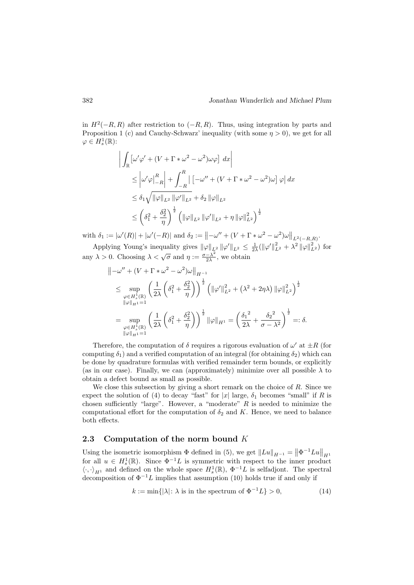in  $H^2(-R, R)$  after restriction to  $(-R, R)$ . Thus, using integration by parts and Proposition 1 (c) and Cauchy-Schwarz' inequality (with some  $\eta > 0$ ), we get for all  $\varphi \in H_s^1(\mathbb{R})$ :

$$
\left| \int_{\mathbb{R}} \left[ \omega' \varphi' + (V + \Gamma * \omega^2 - \omega^2) \omega \varphi \right] dx \right|
$$
  
\n
$$
\leq \left| \omega' \varphi \right|_{-R}^{R} \left| + \int_{-R}^{R} \left[ -\omega'' + (V + \Gamma * \omega^2 - \omega^2) \omega \right] \varphi \right| dx
$$
  
\n
$$
\leq \delta_1 \sqrt{\|\varphi\|_{L^2} \|\varphi'\|_{L^2}} + \delta_2 \|\varphi\|_{L^2}
$$
  
\n
$$
\leq \left( \delta_1^2 + \frac{\delta_2^2}{\eta} \right)^{\frac{1}{2}} \left( \|\varphi\|_{L^2} \|\varphi'\|_{L^2} + \eta \|\varphi\|_{L^2}^2 \right)^{\frac{1}{2}}
$$

with  $\delta_1 := |\omega'(R)| + |\omega'(-R)|$  and  $\delta_2 := ||-\omega'' + (V + \Gamma * \omega^2 - \omega^2)\omega||_{L^2(-R,R)}$ .

Applying Young's inequality gives  $\|\varphi\|_{L^2} \|\varphi'\|_{L^2} \leq \frac{1}{2\lambda} (\|\varphi'\|_{L^2}^2 + \lambda^2 \|\varphi\|_{L^2}^2)$  for any  $\lambda > 0$ . Choosing  $\lambda < \sqrt{\sigma}$  and  $\eta := \frac{\sigma - \lambda^2}{2\lambda}$  $\frac{-\lambda^2}{2\lambda}$ , we obtain

$$
\| -\omega'' + (V + \Gamma * \omega^2 - \omega^2)\omega \|_{H^{-1}}\n\leq \sup_{\substack{\varphi \in H_s^1(\mathbb{R}) \\ \|\varphi\|_{H^{1}} = 1}} \left( \frac{1}{2\lambda} \left( \delta_1^2 + \frac{\delta_2^2}{\eta} \right) \right)^{\frac{1}{2}} \left( \|\varphi'\|_{L^2}^2 + (\lambda^2 + 2\eta\lambda) \|\varphi\|_{L^2}^2 \right)^{\frac{1}{2}}\n= \sup_{\substack{\varphi \in H_s^1(\mathbb{R}) \\ \|\varphi\|_{H^{1}} = 1}} \left( \frac{1}{2\lambda} \left( \delta_1^2 + \frac{\delta_2^2}{\eta} \right) \right)^{\frac{1}{2}} \|\varphi\|_{H^1} = \left( \frac{\delta_1^2}{2\lambda} + \frac{\delta_2^2}{\sigma - \lambda^2} \right)^{\frac{1}{2}} =: \delta.
$$

Therefore, the computation of  $\delta$  requires a rigorous evaluation of  $\omega'$  at  $\pm R$  (for computing  $\delta_1$ ) and a verified computation of an integral (for obtaining  $\delta_2$ ) which can be done by quadrature formulas with verified remainder term bounds, or explicitly (as in our case). Finally, we can (approximately) minimize over all possible  $\lambda$  to obtain a defect bound as small as possible.

We close this subsection by giving a short remark on the choice of  $R$ . Since we expect the solution of (4) to decay "fast" for |x| large,  $\delta_1$  becomes "small" if R is chosen sufficiently "large". However, a "moderate"  $R$  is needed to minimize the computational effort for the computation of  $\delta_2$  and K. Hence, we need to balance both effects.

### 2.3 Computation of the norm bound  $K$

Using the isometric isomorphism  $\Phi$  defined in (5), we get  $\|Lu\|_{H^{-1}} = \|\Phi^{-1}Lu\|_{H^1}$ for all  $u \in H_s^1(\mathbb{R})$ . Since  $\Phi^{-1}L$  is symmetric with respect to the inner product  $\langle \cdot, \cdot \rangle_{H^1}$  and defined on the whole space  $H^1_s(\mathbb{R})$ ,  $\Phi^{-1}L$  is selfadjont. The spectral decomposition of  $\Phi^{-1}L$  implies that assumption (10) holds true if and only if

$$
k := \min\{ |\lambda| \colon \lambda \text{ is in the spectrum of } \Phi^{-1}L \} > 0,
$$
\n(14)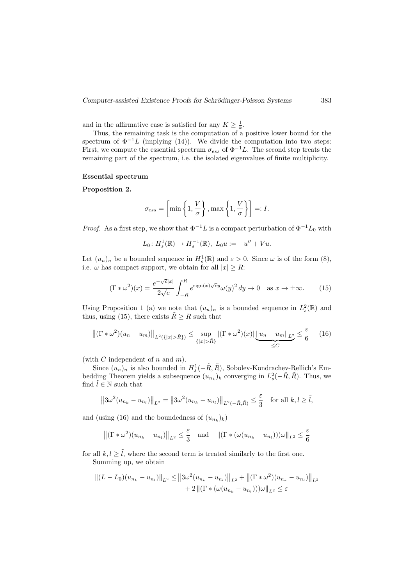and in the affirmative case is satisfied for any  $K \geq \frac{1}{k}$ .

Thus, the remaining task is the computation of a positive lower bound for the spectrum of  $\Phi^{-1}L$  (implying (14)). We divide the computation into two steps: First, we compute the essential spectrum  $\sigma_{ess}$  of  $\Phi^{-1}L$ . The second step treats the remaining part of the spectrum, i.e. the isolated eigenvalues of finite multiplicity.

#### Essential spectrum

#### Proposition 2.

$$
\sigma_{ess} = \left[\min\left\{1, \frac{V}{\sigma}\right\}, \max\left\{1, \frac{V}{\sigma}\right\}\right] =: I.
$$

*Proof.* As a first step, we show that  $\Phi^{-1}L$  is a compact perturbation of  $\Phi^{-1}L_0$  with

$$
L_0: H_s^1(\mathbb{R}) \to H_s^{-1}(\mathbb{R}), L_0 u := -u'' + Vu.
$$

Let  $(u_n)_n$  be a bounded sequence in  $H_s^1(\mathbb{R})$  and  $\varepsilon > 0$ . Since  $\omega$  is of the form  $(8)$ , i.e.  $\omega$  has compact support, we obtain for all  $|x| \geq R$ :

$$
(\Gamma * \omega^2)(x) = \frac{e^{-\sqrt{c}|x|}}{2\sqrt{c}} \int_{-R}^{R} e^{\text{sign}(x)\sqrt{c}y} \omega(y)^2 dy \to 0 \quad \text{as } x \to \pm \infty.
$$
 (15)

Using Proposition 1 (a) we note that  $(u_n)_n$  is a bounded sequence in  $L_s^2(\mathbb{R})$  and thus, using (15), there exists  $\tilde{R} \geq R$  such that

$$
\left\| (\Gamma \ast \omega^2)(u_n - u_m) \right\|_{L^2(\{|x| > \tilde{R}\})} \le \sup_{\{|x| > \tilde{R}\}} |(\Gamma \ast \omega^2)(x)| \underbrace{\|u_n - u_m\|_{L^2}}_{\leq C} \le \frac{\varepsilon}{6} \quad (16)
$$

(with C independent of n and  $m$ ).

Since  $(u_n)_n$  is also bounded in  $H_s^1(-\tilde{R}, \tilde{R})$ , Sobolev-Kondrachev-Rellich's Embedding Theorem yields a subsequence  $(u_{n_k})_k$  converging in  $L^2_s(-\tilde{R}, \tilde{R})$ . Thus, we find  $\tilde{l} \in \mathbb{N}$  such that

$$
||3\omega^{2}(u_{n_{k}}-u_{n_{l}})||_{L^{2}}=||3\omega^{2}(u_{n_{k}}-u_{n_{l}})||_{L^{2}(-\tilde{R},\tilde{R})}\leq \frac{\varepsilon}{3} \text{ for all } k,l\geq \tilde{l},
$$

and (using (16) and the boundedness of  $(u_{n_k})_k$ )

$$
\left\| (\Gamma \ast \omega^2)(u_{n_k} - u_{n_l}) \right\|_{L^2} \leq \frac{\varepsilon}{3} \quad \text{and} \quad \left\| (\Gamma \ast (\omega(u_{n_k} - u_{n_l})))\omega \right\|_{L^2} \leq \frac{\varepsilon}{6}
$$

for all  $k, l > \tilde{l}$ , where the second term is treated similarly to the first one. Summing up, we obtain

$$
||(L - L_0)(u_{n_k} - u_{n_l})||_{L^2} \le ||3\omega^2(u_{n_k} - u_{n_l})||_{L^2} + ||(\Gamma * \omega^2)(u_{n_k} - u_{n_l})||_{L^2}
$$
  
+ 2  $||(\Gamma * (\omega(u_{n_k} - u_{n_l})))\omega||_{L^2} \le \varepsilon$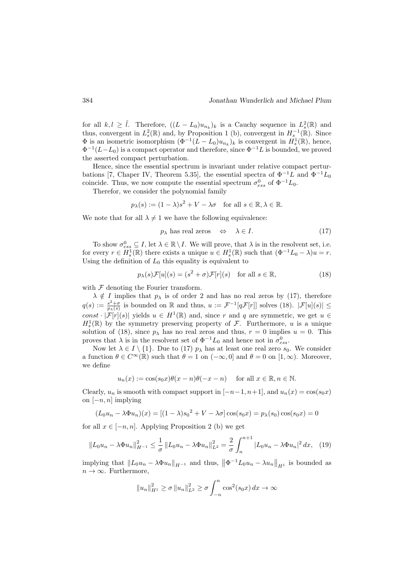for all  $k, l \geq \tilde{l}$ . Therefore,  $((L - L_0)u_{n_k})_k$  is a Cauchy sequence in  $L_s^2(\mathbb{R})$  and thus, convergent in  $L_s^2(\mathbb{R})$  and, by Proposition 1 (b), convergent in  $H_s^{-1}(\mathbb{R})$ . Since  $\Phi$  is an isometric isomorphism  $(\Phi^{-1}(L-L_0)u_{n_k})_k$  is convergent in  $H_s^1(\mathbb{R})$ , hence,  $\Phi^{-1}(L-L_0)$  is a compact operator and therefore, since  $\Phi^{-1}L$  is bounded, we proved the asserted compact perturbation.

Hence, since the essential spectrum is invariant under relative compact perturbations [7, Chaper IV, Theorem 5.35], the essential spectra of  $\Phi^{-1}L$  and  $\Phi^{-1}L_0$ coincide. Thus, we now compute the essential spectrum  $\sigma_{ess}^0$  of  $\Phi^{-1}L_0$ .

Therefor, we consider the polynomial family

$$
p_{\lambda}(s) := (1 - \lambda)s^2 + V - \lambda \sigma \quad \text{for all } s \in \mathbb{R}, \lambda \in \mathbb{R}.
$$

We note that for all  $\lambda \neq 1$  we have the following equivalence:

$$
p_{\lambda} \text{ has real zeros} \quad \Leftrightarrow \quad \lambda \in I. \tag{17}
$$

To show  $\sigma_{ess}^0 \subseteq I$ , let  $\lambda \in \mathbb{R} \setminus I$ . We will prove, that  $\lambda$  is in the resolvent set, i.e. for every  $r \in H_s^1(\mathbb{R})$  there exists a unique  $u \in H_s^1(\mathbb{R})$  such that  $(\Phi^{-1}L_0 - \lambda)u = r$ . Using the definition of  $L_0$  this equality is equivalent to

$$
p_{\lambda}(s)\mathcal{F}[u](s) = (s^2 + \sigma)\mathcal{F}[r](s) \quad \text{for all } s \in \mathbb{R},\tag{18}
$$

with  $\mathcal F$  denoting the Fourier transform.

 $\lambda \notin I$  implies that  $p_{\lambda}$  is of order 2 and has no real zeros by (17), therefore  $q(s) := \frac{s^2 + \sigma}{n(s)}$  $\frac{s^2+\sigma}{p_\lambda(s)}$  is bounded on R and thus,  $u := \mathcal{F}^{-1}[q\mathcal{F}[r]]$  solves (18).  $|\mathcal{F}[u](s)| \leq$ const  $|\mathcal{F}[r](s)|$  yields  $u \in H^1(\mathbb{R})$  and, since r and q are symmetric, we get  $u \in$  $H_s^1(\mathbb{R})$  by the symmetry preserving property of  $\mathcal{F}$ . Furthermore, u is a unique solution of (18), since  $p_{\lambda}$  has no real zeros and thus,  $r = 0$  implies  $u = 0$ . This proves that  $\lambda$  is in the resolvent set of  $\Phi^{-1}L_0$  and hence not in  $\sigma_{ess}^0$ .

Now let  $\lambda \in I \setminus \{1\}$ . Due to (17)  $p_{\lambda}$  has at least one real zero  $s_0$ . We consider a function  $\theta \in C^{\infty}(\mathbb{R})$  such that  $\theta = 1$  on  $(-\infty, 0]$  and  $\theta = 0$  on  $[1, \infty)$ . Moreover, we define

$$
u_n(x) := \cos(s_0 x)\theta(x - n)\theta(-x - n) \quad \text{ for all } x \in \mathbb{R}, n \in \mathbb{N}.
$$

Clearly,  $u_n$  is smooth with compact support in  $[-n-1, n+1]$ , and  $u_n(x) = \cos(s_0x)$ on  $[-n, n]$  implying

$$
(L_0 u_n - \lambda \Phi u_n)(x) = [(1 - \lambda)s_0^2 + V - \lambda \sigma] \cos(s_0 x) = p_\lambda(s_0) \cos(s_0 x) = 0
$$

for all  $x \in [-n, n]$ . Applying Proposition 2 (b) we get

$$
||L_0 u_n - \lambda \Phi u_n||_{H^{-1}}^2 \le \frac{1}{\sigma} ||L_0 u_n - \lambda \Phi u_n||_{L^2}^2 = \frac{2}{\sigma} \int_n^{n+1} |L_0 u_n - \lambda \Phi u_n|^2 dx, \quad (19)
$$

implying that  $||L_0u_n - \lambda \Phi u_n||_{H^{-1}}$  and thus,  $||\Phi^{-1}L_0u_n - \lambda u_n||_{H^1}$  is bounded as  $n \to \infty$ . Furthermore,

$$
||u_n||_{H^1}^2 \ge \sigma ||u_n||_{L^2}^2 \ge \sigma \int_{-n}^n \cos^2(s_0 x) dx \to \infty
$$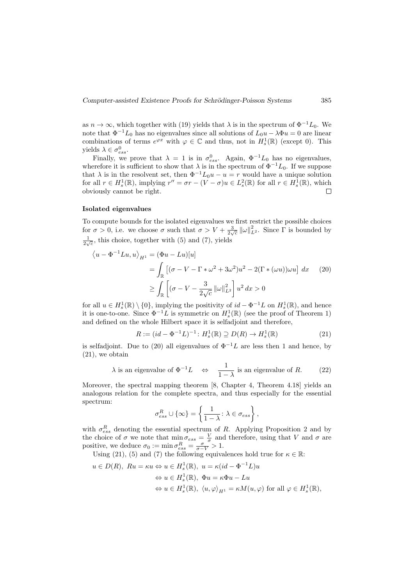as  $n \to \infty$ , which together with (19) yields that  $\lambda$  is in the spectrum of  $\Phi^{-1}L_0$ . We note that  $\Phi^{-1}L_0$  has no eigenvalues since all solutions of  $L_0u - \lambda \Phi u = 0$  are linear combinations of terms  $e^{\varphi x}$  with  $\varphi \in \mathbb{C}$  and thus, not in  $H_s^1(\mathbb{R})$  (except 0). This yields  $\lambda \in \sigma_{ess}^0$ .

Finally, we prove that  $\lambda = 1$  is in  $\sigma_{ess}^0$ . Again,  $\Phi^{-1}L_0$  has no eigenvalues, wherefore it is sufficient to show that  $\lambda$  is in the spectrum of  $\Phi^{-1}L_0$ . If we suppose that  $\lambda$  is in the resolvent set, then  $\Phi^{-1}L_0u - u = r$  would have a unique solution for all  $r \in H_s^1(\mathbb{R})$ , implying  $r'' = \sigma r - (V - \sigma)u \in L_s^2(\mathbb{R})$  for all  $r \in H_s^1(\mathbb{R})$ , which obviously cannot be right.  $\Box$ 

#### Isolated eigenvalues

To compute bounds for the isolated eigenvalues we first restrict the possible choices for  $\sigma > 0$ , i.e. we choose  $\sigma$  such that  $\sigma > V + \frac{3}{2\sqrt{c}} ||\omega||_{L^2}^2$ . Since  $\Gamma$  is bounded by  $\frac{1}{2\sqrt{c}}$ , this choice, together with (5) and (7), yields

$$
\langle u - \Phi^{-1}Lu, u \rangle_{H^1} = (\Phi u - Lu)[u]
$$
  
= 
$$
\int_{\mathbb{R}} \left[ (\sigma - V - \Gamma * \omega^2 + 3\omega^2)u^2 - 2(\Gamma * (\omega u))\omega u \right] dx
$$
 (20)  

$$
\geq \int_{\mathbb{R}} \left[ (\sigma - V - \frac{3}{2\sqrt{c}} ||\omega||_{L^2}^2 \right] u^2 dx > 0
$$

for all  $u \in H_s^1(\mathbb{R}) \setminus \{0\}$ , implying the positivity of  $id - \Phi^{-1}L$  on  $H_s^1(\mathbb{R})$ , and hence it is one-to-one. Since  $\Phi^{-1}L$  is symmetric on  $H_s^1(\mathbb{R})$  (see the proof of Theorem 1) and defined on the whole Hilbert space it is selfadjoint and therefore,

$$
R := (id - \Phi^{-1}L)^{-1} : H_s^1(\mathbb{R}) \supseteq D(R) \to H_s^1(\mathbb{R})
$$
\n(21)

is selfadjoint. Due to (20) all eigenvalues of  $\Phi^{-1}L$  are less then 1 and hence, by (21), we obtain

$$
\lambda
$$
 is an eigenvalue of  $\Phi^{-1}L \iff \frac{1}{1-\lambda}$  is an eigenvalue of R. (22)

Moreover, the spectral mapping theorem [8, Chapter 4, Theorem 4.18] yields an analogous relation for the complete spectra, and thus especially for the essential spectrum:

$$
\sigma_{ess}^R \cup \{\infty\} = \left\{ \frac{1}{1-\lambda} : \lambda \in \sigma_{ess} \right\},\
$$

with  $\sigma_{ess}^R$  denoting the essential spectrum of R. Applying Proposition 2 and by the choice of  $\sigma$  we note that  $\min_{\sigma} \sigma_{ess} = \frac{V}{\sigma}$  and therefore, using that V and  $\sigma$  are positive, we deduce  $\sigma_0 := \min \sigma_{ess}^R = \frac{\sigma}{\sigma - V} > 1$ .

Using (21), (5) and (7) the following equivalences hold true for  $\kappa \in \mathbb{R}$ :

$$
u \in D(R), Ru = \kappa u \Leftrightarrow u \in H_s^1(\mathbb{R}), u = \kappa (id - \Phi^{-1}L)u
$$
  

$$
\Leftrightarrow u \in H_s^1(\mathbb{R}), \Phi u = \kappa \Phi u - Lu
$$
  

$$
\Leftrightarrow u \in H_s^1(\mathbb{R}), \langle u, \varphi \rangle_{H^1} = \kappa M(u, \varphi) \text{ for all } \varphi \in H_s^1(\mathbb{R}),
$$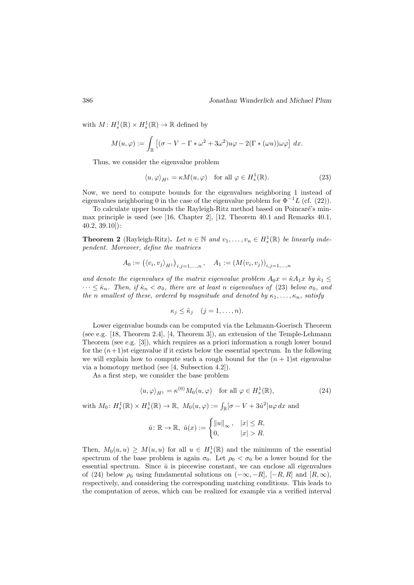with  $M: H_s^1(\mathbb{R}) \times H_s^1(\mathbb{R}) \to \mathbb{R}$  defined by

$$
M(u,\varphi) := \int_{\mathbb{R}} \left[ (\sigma - V - \Gamma * \omega^2 + 3\omega^2) u\varphi - 2(\Gamma * (\omega u)) \omega \varphi \right] dx.
$$

Thus, we consider the eigenvalue problem

$$
\langle u, \varphi \rangle_{H^1} = \kappa M(u, \varphi) \quad \text{for all } \varphi \in H^1_s(\mathbb{R}). \tag{23}
$$

Now, we need to compute bounds for the eigenvalues neighboring 1 instead of eigenvalues neighboring 0 in the case of the eigenvalue problem for  $\Phi^{-1}L$  (cf. (22)).

To calculate upper bounds the Rayleigh-Ritz method based on Poincaré's minmax principle is used (see [16, Chapter 2], [12, Theorem 40.1 and Remarks 40.1, 40.2, 39.10]):

**Theorem 2** (Rayleigh-Ritz). Let  $n \in \mathbb{N}$  and  $v_1, \ldots, v_n \in H_s^1(\mathbb{R})$  be linearly independent. Moreover, define the matrices

$$
A_0 := (\langle v_i, v_j \rangle_{H^1})_{i,j=1,...,n}, \quad A_1 := (M(v_i, v_j))_{i,j=1,...,n}
$$

and denote the eigenvalues of the matrix eigenvalue problem  $A_0x = \hat{\kappa}A_1x$  by  $\hat{\kappa}_1 \leq$  $\cdots \leq \hat{\kappa}_n$ . Then, if  $\hat{\kappa}_n < \sigma_0$ , there are at least n eigenvalues of (23) below  $\sigma_0$ , and the n smallest of these, ordered by magnitude and denoted by  $\kappa_1, \ldots, \kappa_n$ , satisfy

$$
\kappa_j \leq \hat{\kappa}_j \quad (j=1,\ldots,n).
$$

Lower eigenvalue bounds can be computed via the Lehmann-Goerisch Theorem (see e.g. [18, Theorem 2.4], [4, Theorem 3]), an extension of the Temple-Lehmann Theorem (see e.g. [3]), which requires as a priori information a rough lower bound for the  $(n+1)$ st eigenvalue if it exists below the essential spectrum. In the following we will explain how to compute such a rough bound for the  $(n + 1)$ st eigenvalue via a homotopy method (see [4, Subsection 4.2]).

As a first step, we consider the base problem

$$
\langle u, \varphi \rangle_{H^1} = \kappa^{(0)} M_0(u, \varphi) \quad \text{for all } \varphi \in H^1_s(\mathbb{R}), \tag{24}
$$

with  $M_0: H^1_s(\mathbb{R}) \times H^1_s(\mathbb{R}) \to \mathbb{R}, M_0(u,\varphi) := \int_{\mathbb{R}} [\sigma - V + 3\hat{u}^2] u \varphi \, dx$  and

$$
\hat{u} \colon \mathbb{R} \to \mathbb{R}, \ \hat{u}(x) := \begin{cases} ||u||_{\infty}, & |x| \leq R, \\ 0, & |x| > R. \end{cases}
$$

Then,  $M_0(u, u) \geq M(u, u)$  for all  $u \in H_s^1(\mathbb{R})$  and the minimum of the essential spectrum of the base problem is again  $\sigma_0$ . Let  $\rho_0 < \sigma_0$  be a lower bound for the essential spectrum. Since  $\hat{u}$  is piecewise constant, we can enclose all eigenvalues of (24) below  $\rho_0$  using fundamental solutions on  $(-\infty, -R]$ ,  $[-R, R]$  and  $[R, \infty)$ , respectively, and considering the corresponding matching conditions. This leads to the computation of zeros, which can be realized for example via a verified interval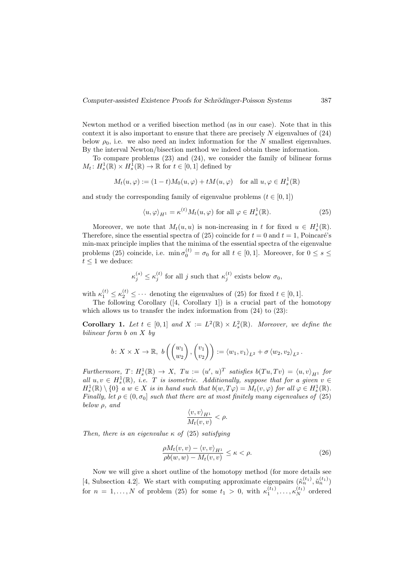Newton method or a verified bisection method (as in our case). Note that in this context it is also important to ensure that there are precisely  $N$  eigenvalues of  $(24)$ below  $\rho_0$ , i.e. we also need an index information for the N smallest eigenvalues. By the interval Newton/bisection method we indeed obtain these information.

To compare problems (23) and (24), we consider the family of bilinear forms  $M_t$ :  $H_s^1(\mathbb{R}) \times H_s^1(\mathbb{R}) \to \mathbb{R}$  for  $t \in [0,1]$  defined by

$$
M_t(u,\varphi) := (1-t)M_0(u,\varphi) + tM(u,\varphi) \quad \text{for all } u, \varphi \in H^1_s(\mathbb{R})
$$

and study the corresponding family of eigenvalue problems  $(t \in [0, 1])$ 

$$
\langle u, \varphi \rangle_{H^1} = \kappa^{(t)} M_t(u, \varphi) \text{ for all } \varphi \in H^1_s(\mathbb{R}).
$$
 (25)

Moreover, we note that  $M_t(u, u)$  is non-increasing in t for fixed  $u \in H_s^1(\mathbb{R})$ . Therefore, since the essential spectra of (25) coincide for  $t = 0$  and  $t = 1$ , Poincaré's min-max principle implies that the minima of the essential spectra of the eigenvalue problems (25) coincide, i.e.  $\min \sigma_0^{(t)} = \sigma_0$  for all  $t \in [0, 1]$ . Moreover, for  $0 \le s \le$  $t \leq 1$  we deduce:

$$
\kappa_j^{(s)} \le \kappa_j^{(t)}
$$
 for all j such that  $\kappa_j^{(t)}$  exists below  $\sigma_0$ ,

with  $\kappa_1^{(t)} \leq \kappa_2^{(t)} \leq \cdots$  denoting the eigenvalues of (25) for fixed  $t \in [0, 1]$ .

The following Corollary ([4, Corollary 1]) is a crucial part of the homotopy which allows us to transfer the index information from  $(24)$  to  $(23)$ :

**Corollary 1.** Let  $t \in [0,1]$  and  $X := L^2(\mathbb{R}) \times L^2(\mathbb{R})$ . Moreover, we define the bilinear form b on X by

$$
b\colon X\times X\to\mathbb{R},\ b\left(\begin{pmatrix}w_1\\w_2\end{pmatrix},\begin{pmatrix}v_1\\v_2\end{pmatrix}\right):=\langle w_1,v_1\rangle_{L^2}+\sigma\langle w_2,v_2\rangle_{L^2}.
$$

Furthermore,  $T: H_s^1(\mathbb{R}) \to X$ ,  $Tu := (u', u)^T$  satisfies  $b(Tu, Tv) = \langle u, v \rangle_{H^1}$  for all  $u, v \in H_s^1(\mathbb{R})$ , i.e. T is isometric. Additionally, suppose that for a given  $v \in$  $H_s^1(\mathbb{R}) \setminus \{0\}$  a  $w \in X$  is in hand such that  $b(w,T\varphi) = M_t(v,\varphi)$  for all  $\varphi \in H_s^1(\mathbb{R})$ . Finally, let  $\rho \in (0, \sigma_0]$  such that there are at most finitely many eigenvalues of (25) below  $\rho$ , and

$$
\frac{\langle v, v \rangle_{H^1}}{M_t(v, v)} < \rho.
$$

Then, there is an eigenvalue  $\kappa$  of (25) satisfying

$$
\frac{\rho M_t(v, v) - \langle v, v \rangle_{H^1}}{\rho b(w, w) - M_t(v, v)} \le \kappa < \rho. \tag{26}
$$

Now we will give a short outline of the homotopy method (for more details see [4, Subsection 4.2]. We start with computing approximate eigenpairs  $(\tilde{\kappa}_n^{(t_1)}, \tilde{u}_n^{(t_1)})$ for  $n = 1, ..., N$  of problem (25) for some  $t_1 > 0$ , with  $\kappa_1^{(t_1)}, \ldots, \kappa_N^{(t_1)}$  ordered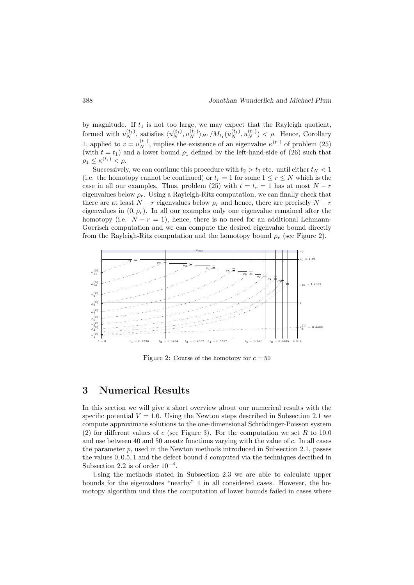by magnitude. If  $t_1$  is not too large, we may expect that the Rayleigh quotient, formed with  $u_N^{(t_1)}$ , satisfies  $\langle u_N^{(t_1)}, u_N^{(t_1)} \rangle_{H^1}/M_{t_1}(u_N^{(t_1)}, u_N^{(t_1)}) < \rho$ . Hence, Corollary 1, applied to  $v = u_N^{(t_1)}$ , implies the existence of an eigenvalue  $\kappa^{(t_1)}$  of problem (25) (with  $t = t_1$ ) and a lower bound  $\rho_1$  defined by the left-hand-side of (26) such that  $\rho_1 \leq \kappa^{(t_1)} < \rho.$ 

Successively, we can continue this procedure with  $t_2 > t_1$  etc. until either  $t_N < 1$ (i.e. the homotopy cannot be continued) or  $t_r = 1$  for some  $1 \leq r \leq N$  which is the case in all our examples. Thus, problem (25) with  $t = t_r = 1$  has at most  $N - r$ eigenvalues below  $\rho_r$ . Using a Rayleigh-Ritz computation, we can finally check that there are at least  $N - r$  eigenvalues below  $\rho_r$  and hence, there are precisely  $N - r$ eigenvalues in  $(0, \rho_r)$ . In all our examples only one eigenvalue remained after the homotopy (i.e.  $N - r = 1$ ), hence, there is no need for an additional Lehmann-Goerisch computation and we can compute the desired eigenvalue bound directly from the Rayleigh-Ritz computation and the homotopy bound  $\rho_r$  (see Figure 2).



Figure 2: Course of the homotopy for  $c = 50$ 

### 3 Numerical Results

In this section we will give a short overview about our numerical results with the specific potential  $V = 1.0$ . Using the Newton steps described in Subsection 2.1 we compute approximate solutions to the one-dimensional Schrödinger-Poisson system (2) for different values of c (see Figure 3). For the computation we set R to 10.0 and use between 40 and 50 ansatz functions varying with the value of c. In all cases the parameter  $p$ , used in the Newton methods introduced in Subsection 2.1, passes the values  $0, 0.5, 1$  and the defect bound  $\delta$  computed via the techniques decribed in Subsection 2.2 is of order  $10^{-4}$ .

Using the methods stated in Subsection 2.3 we are able to calculate upper bounds for the eigenvalues "nearby" 1 in all considered cases. However, the homotopy algorithm und thus the computation of lower bounds failed in cases where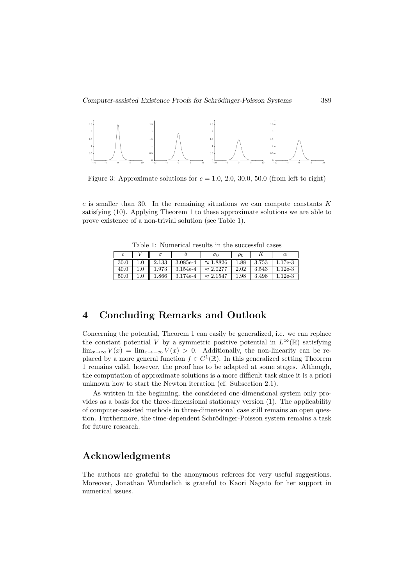

Figure 3: Approximate solutions for  $c = 1.0, 2.0, 30.0, 50.0$  (from left to right)

 $c$  is smaller than 30. In the remaining situations we can compute constants  $K$ satisfying (10). Applying Theorem 1 to these approximate solutions we are able to prove existence of a non-trivial solution (see Table 1).

| TOOTO I, ITUHIOITOOI IODUIDD III DHO DUOOODIUI OODOD |         |                       |              |                  |          |                |           |
|------------------------------------------------------|---------|-----------------------|--------------|------------------|----------|----------------|-----------|
|                                                      |         |                       |              | $\sigma_0$       | $\rho_0$ |                |           |
| 30.0                                                 |         | $1.0 \parallel 2.133$ | $ 3.085e-4 $ | $\approx 1.8826$ |          | $1.88$   3.753 | $1.17e-3$ |
| 40.0                                                 | $1.0\,$ | 1.973                 | $3.154e-4$   | $\approx 2.0277$ | 2.02     | 3.543          | $1.12e-3$ |
| 50.0                                                 |         | $1.866\,$             | $3.174e-4$   | $\approx 2.1547$ | 1.98     | 3.498          | $1.12e-3$ |

Table 1: Numerical results in the successful cases

## 4 Concluding Remarks and Outlook

Concerning the potential, Theorem 1 can easily be generalized, i.e. we can replace the constant potential V by a symmetric positive potential in  $L^{\infty}(\mathbb{R})$  satisfying  $\lim_{x\to\infty} V(x) = \lim_{x\to-\infty} V(x) > 0$ . Additionally, the non-linearity can be replaced by a more general function  $f \in C^1(\mathbb{R})$ . In this generalized setting Theorem 1 remains valid, however, the proof has to be adapted at some stages. Although, the computation of approximate solutions is a more difficult task since it is a priori unknown how to start the Newton iteration (cf. Subsection 2.1).

As written in the beginning, the considered one-dimensional system only provides as a basis for the three-dimensional stationary version (1). The applicability of computer-assisted methods in three-dimensional case still remains an open question. Furthermore, the time-dependent Schrödinger-Poisson system remains a task for future research.

### Acknowledgments

The authors are grateful to the anonymous referees for very useful suggestions. Moreover, Jonathan Wunderlich is grateful to Kaori Nagato for her support in numerical issues.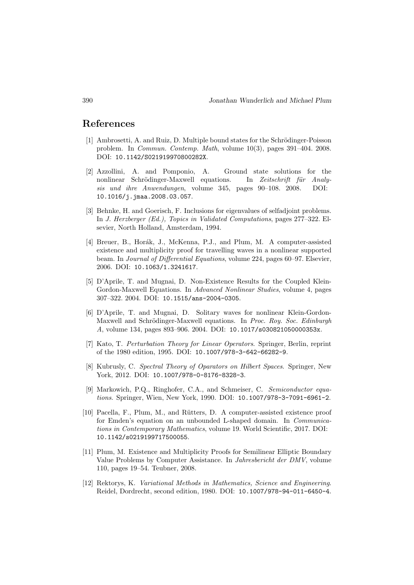### References

- [1] Ambrosetti, A. and Ruiz, D. Multiple bound states for the Schrödinger-Poisson problem. In Commun. Contemp. Math, volume 10(3), pages 391–404. 2008. DOI: 10.1142/S021919970800282X.
- [2] Azzollini, A. and Pomponio, A. Ground state solutions for the nonlinear Schrödinger-Maxwell equations. In Zeitschrift für Analysis und ihre Anwendungen, volume 345, pages 90–108. 2008. DOI: 10.1016/j.jmaa.2008.03.057.
- [3] Behnke, H. and Goerisch, F. Inclusions for eigenvalues of selfadjoint problems. In J. Herzberger (Ed.), Topics in Validated Computations, pages 277–322. Elsevier, North Holland, Amsterdam, 1994.
- [4] Breuer, B., Horák, J., McKenna, P.J., and Plum, M. A computer-assisted existence and multiplicity proof for travelling waves in a nonlinear supported beam. In Journal of Differential Equations, volume 224, pages 60–97. Elsevier, 2006. DOI: 10.1063/1.3241617.
- [5] D'Aprile, T. and Mugnai, D. Non-Existence Results for the Coupled Klein-Gordon-Maxwell Equations. In Advanced Nonlinear Studies, volume 4, pages 307–322. 2004. DOI: 10.1515/ans-2004-0305.
- [6] D'Aprile, T. and Mugnai, D. Solitary waves for nonlinear Klein-Gordon-Maxwell and Schrödinger-Maxwell equations. In Proc. Roy. Soc. Edinburgh A, volume 134, pages 893–906. 2004. DOI: 10.1017/s030821050000353x.
- [7] Kato, T. Perturbation Theory for Linear Operators. Springer, Berlin, reprint of the 1980 edition, 1995. DOI: 10.1007/978-3-642-66282-9.
- [8] Kubrusly, C. Spectral Theory of Oparators on Hilbert Spaces. Springer, New York, 2012. DOI: 10.1007/978-0-8176-8328-3.
- [9] Markowich, P.Q., Ringhofer, C.A., and Schmeiser, C. Semiconductor equations. Springer, Wien, New York, 1990. DOI: 10.1007/978-3-7091-6961-2.
- [10] Pacella, F., Plum, M., and Rütters, D. A computer-assisted existence proof for Emden's equation on an unbounded L-shaped domain. In Communications in Contemporary Mathematics, volume 19. World Scientific, 2017. DOI: 10.1142/s0219199717500055.
- [11] Plum, M. Existence and Multiplicity Proofs for Semilinear Elliptic Boundary Value Problems by Computer Assistance. In Jahresbericht der DMV, volume 110, pages 19–54. Teubner, 2008.
- [12] Rektorys, K. Variational Methods in Mathematics, Science and Engineering. Reidel, Dordrecht, second edition, 1980. DOI: 10.1007/978-94-011-6450-4.